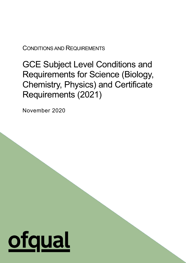CONDITIONS AND REQUIREMENTS

GCE Subject Level Conditions and Requirements for Science (Biology, Chemistry, Physics) and Certificate Requirements (2021)

1

November 2020

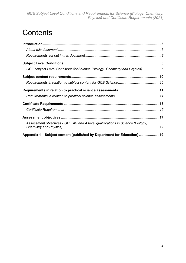# **Contents**

| GCE Subject Level Conditions for Science (Biology, Chemistry and Physics)5     |  |
|--------------------------------------------------------------------------------|--|
|                                                                                |  |
|                                                                                |  |
|                                                                                |  |
|                                                                                |  |
|                                                                                |  |
|                                                                                |  |
|                                                                                |  |
| Assessment objectives - GCE AS and A level qualifications in Science (Biology, |  |
| Appendix 1 – Subject content (published by Department for Education) 19        |  |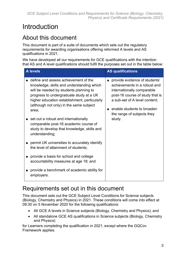# <span id="page-2-0"></span>Introduction

# <span id="page-2-1"></span>About this document

This document is part of a suite of documents which sets out the regulatory requirements for awarding organisations offering reformed A levels and AS qualifications in 2021.

We have developed all our requirements for GCE qualifications with the intention that AS and A level qualifications should fulfil the purposes set out in the table below:

| <b>A</b> levels                                                                                                                                                                                                                                                                                                                                                                                                                | <b>AS qualifications</b>                                                                                                                                                                                                              |
|--------------------------------------------------------------------------------------------------------------------------------------------------------------------------------------------------------------------------------------------------------------------------------------------------------------------------------------------------------------------------------------------------------------------------------|---------------------------------------------------------------------------------------------------------------------------------------------------------------------------------------------------------------------------------------|
| ■ define and assess achievement of the<br>knowledge, skills and understanding which<br>will be needed by students planning to<br>progress to undergraduate study at a UK<br>higher education establishment, particularly<br>(although not only) in the same subject<br>area;<br>set out a robust and internationally<br>comparable post-16 academic course of<br>study to develop that knowledge, skills and<br>understanding; | provide evidence of students'<br>achievements in a robust and<br>internationally comparable<br>post-16 course of study that is<br>a sub-set of A level content;<br>enable students to broaden<br>the range of subjects they<br>study. |
| permit UK universities to accurately identify<br>the level of attainment of students;                                                                                                                                                                                                                                                                                                                                          |                                                                                                                                                                                                                                       |
| provide a basis for school and college<br>accountability measures at age 18; and                                                                                                                                                                                                                                                                                                                                               |                                                                                                                                                                                                                                       |
| provide a benchmark of academic ability for<br>employers.                                                                                                                                                                                                                                                                                                                                                                      |                                                                                                                                                                                                                                       |

# <span id="page-2-2"></span>Requirements set out in this document

This document sets out the GCE Subject Level Conditions for Science subjects (Biology, Chemistry and Physics) in 2021. These conditions will come into effect at 09:30 on 5 November 2020 for the following qualifications:

- All GCE A levels in Science subjects (Biology, Chemistry and Physics); and
- All standalone GCE AS qualifications in Science subjects (Biology, Chemistry and Physics)

for Learners completing the qualification in 2021, except where the GQCov Framework applies.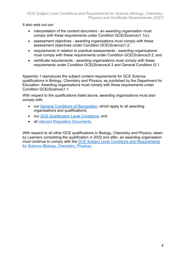It also sets out our:

- interpretation of the content document an awarding organisation must comply with these requirements under Condition GCE(Science)1.1(c);
- assessment objectives awarding organisations must comply with these assessment objectives under Condition GCE(Science)1.2;
- requirements in relation to practical assessments awarding organisations must comply with these requirements under Condition GCE(Science)3.2; and
- certificate requirements awarding organisations must comply with these requirements under Condition GCE(Science)4.3 and General Condition I3.1.

Appendix 1 reproduces the subject content requirements for GCE Science qualifications in Biology, Chemistry and Physics, as published by the Department for Education. Awarding organisations must comply with these requirements under Condition GCE(Science)1.1.

With respect to the qualifications listed above, awarding organisations must also comply with:

- our [General Conditions of Recognition,](https://www.ofqual.gov.uk/documents/general-conditions-of-recognition) which apply to all awarding organisations and qualifications;
- our [GCE Qualification Level Conditions;](https://www.ofqual.gov.uk/documents/gce-qualification-level-conditions) and
- all [relevant Regulatory Documents.](https://www.ofqual.gov.uk/documents/list-of-additional-regulatory-documents)

With respect to all other GCE qualifications in Biology, Chemistry and Physics, taken by Learners completing the qualification in 2022 and after, an awarding organisation must continue to comply with the [GCE Subject Level Conditions and Requirements](https://www.gov.uk/government/publications/gce-subject-level-conditions-and-requirements-for-science)  [for Science \(Biology, Chemistry, Physics\).](https://www.gov.uk/government/publications/gce-subject-level-conditions-and-requirements-for-science)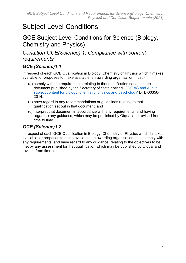# <span id="page-4-0"></span>Subject Level Conditions

# <span id="page-4-1"></span>GCE Subject Level Conditions for Science (Biology, Chemistry and Physics)

# *Condition GCE(Science) 1: Compliance with content requirements*

### *GCE (Science)1.1*

In respect of each GCE Qualification in Biology, Chemistry or Physics which it makes available, or proposes to make available, an awarding organisation must -

- (a) comply with the requirements relating to that qualification set out in the document published by the Secretary of State entitled ['GCE AS and A level](https://www.gov.uk/government/publications/gce-as-and-a-level-for-science)  [subject content for biology, chemistry, physics and psychology'](https://www.gov.uk/government/publications/gce-as-and-a-level-for-science) DFE-00356- 2014,
- (b) have regard to any recommendations or guidelines relating to that qualification set out in that document, and
- (c) interpret that document in accordance with any requirements, and having regard to any guidance, which may be published by Ofqual and revised from time to time.

# *GCE (Science)1.2*

In respect of each GCE Qualification in Biology, Chemistry or Physics which it makes available, or proposes to make available, an awarding organisation must comply with any requirements, and have regard to any guidance, relating to the objectives to be met by any assessment for that qualification which may be published by Ofqual and revised from time to time.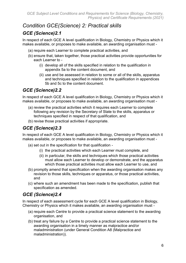# *Condition GCE(Science) 2: Practical skills*

# *GCE (Science)2.1*

In respect of each GCE A level qualification in Biology, Chemistry or Physics which it makes available, or proposes to make available, an awarding organisation must -

- (a) require each Learner to complete practical activities, and
- (b) ensure that, taken together, those practical activities provide opportunities for each Learner to -
	- (i) develop all of the skills specified in relation to the qualification in appendix 5a to the content document, and
	- (ii) use and be assessed in relation to some or all of the skills, apparatus and techniques specified in relation to the qualification in appendices 5b and 5c to the content document.

# *GCE (Science)2.2*

In respect of each GCE A level qualification in Biology, Chemistry or Physics which it makes available, or proposes to make available, an awarding organisation must -

- (a) review the practical activities which it requires each Learner to complete following any revision by the Secretary of State to the skills, apparatus or techniques specified in respect of that qualification, and
- (b) revise those practical activities if appropriate.

# *GCE (Science)2.3*

In respect of each GCE A level qualification in Biology, Chemistry or Physics which it makes available, or proposes to make available, an awarding organisation must -

- (a) set out in the specification for that qualification
	- (i) the practical activities which each Learner must complete, and
	- (ii) in particular, the skills and techniques which those practical activities must allow each Learner to develop or demonstrate, and the apparatus which those practical activities must allow each Learner to use, and
- (b) promptly amend that specification when the awarding organisation makes any revision to those skills, techniques or apparatus, or those practical activities, and
- (c) where such an amendment has been made to the specification, publish that specification as amended.

# *GCE (Science)2.4*

In respect of each assessment cycle for each GCE A level qualification in Biology, Chemistry or Physics which it makes available, an awarding organisation must -

- (a) require each Centre to provide a practical science statement to the awarding organisation, and
- (b) treat any failure by a Centre to provide a practical science statement to the awarding organisation in a timely manner as malpractice and/or maladministration (under General Condition A8 (Malpractice and maladministration)).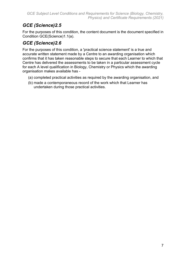# *GCE (Science)2.5*

For the purposes of this condition, the content document is the document specified in Condition GCE(Science)1.1(a).

# *GCE (Science)2.6*

For the purposes of this condition, a 'practical science statement' is a true and accurate written statement made by a Centre to an awarding organisation which confirms that it has taken reasonable steps to secure that each Learner to which that Centre has delivered the assessments to be taken in a particular assessment cycle for each A level qualification in Biology, Chemistry or Physics which the awarding organisation makes available has -

- (a) completed practical activities as required by the awarding organisation, and
- (b) made a contemporaneous record of the work which that Learner has undertaken during those practical activities.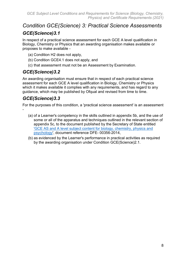# *Condition GCE(Science) 3: Practical Science Assessments GCE(Science)3.1*

In respect of a practical science assessment for each GCE A level qualification in Biology, Chemistry or Physics that an awarding organisation makes available or proposes to make available -

- (a) Condition H2 does not apply,
- (b) Condition GCE4.1 does not apply, and
- (c) that assessment must not be an Assessment by Examination.

### *GCE(Science)3.2*

An awarding organisation must ensure that in respect of each practical science assessment for each GCE A level qualification in Biology, Chemistry or Physics which it makes available it complies with any requirements, and has regard to any guidance, which may be published by Ofqual and revised from time to time.

### *GCE(Science)3.3*

-

For the purposes of this condition, a 'practical science assessment' is an assessment

- (a) of a Learner's competency in the skills outlined in appendix 5b, and the use of some or all of the apparatus and techniques outlined in the relevant section of appendix 5c, to the document published by the Secretary of State entitled ['GCE AS and A level subject content for biology, chemistry, physics and](https://www.gov.uk/government/publications/gcse-single-science)  [psychology'](https://www.gov.uk/government/publications/gcse-single-science), document reference DFE- 00356-2014,
- (b) as evidenced by the Learner's performance in practical activities as required by the awarding organisation under Condition GCE(Science)2.1.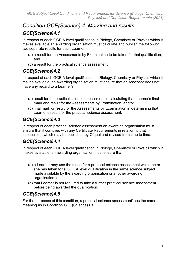# *Condition GCE(Science) 4: Marking and results*

# *GCE(Science)4.1*

In respect of each GCE A level qualification in Biology, Chemistry or Physics which it makes available an awarding organisation must calculate and publish the following two separate results for each Learner -

- (a) a result for the Assessments by Examination to be taken for that qualification, and
- (b) a result for the practical science assessment.

# *GCE(Science)4.2*

In respect of each GCE A level qualification in Biology, Chemistry or Physics which it makes available, an awarding organisation must ensure that an Assessor does not have any regard to a Learner's

- -
- (a) result for the practical science assessment in calculating that Learner's final mark and result for the Assessments by Examination, and/or
- (b) final mark or result for the Assessments by Examination in determining that Learner's result for the practical science assessment.

# *GCE(Science)4.3*

In respect of each practical science assessment an awarding organisation must ensure that it complies with any Certificate Requirements in relation to that assessment which may be published by Ofqual and revised from time to time.

# *GCE(Science)4.4*

In respect of each GCE A level qualification in Biology, Chemistry or Physics which it makes available, an awarding organisation must ensure that

-

- (a) a Learner may use the result for a practical science assessment which he or she has taken for a GCE A level qualification in the same science subject made available by the awarding organisation or another awarding organisation, and
- (a) that Learner is not required to take a further practical science assessment before being awarded the qualification.

# *GCE(Science)4.5*

For the purposes of this condition, a practical science assessment' has the same meaning as in Condition GCE(Science)3.3.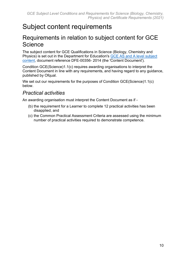# <span id="page-9-0"></span>Subject content requirements

# <span id="page-9-1"></span>Requirements in relation to subject content for GCE **Science**

The subject content for GCE Qualifications in Science (Biology, Chemistry and Physics) is set out in the Department for Education's [GCE AS and A level subject](https://www.gov.uk/government/publications/gce-as-and-a-level-for-science)  [content,](https://www.gov.uk/government/publications/gce-as-and-a-level-for-science) document reference DFE-00356- 2014 (the 'Content Document').

Condition GCE(Science)1.1(c) requires awarding organisations to interpret the Content Document in line with any requirements, and having regard to any guidance, published by Ofqual.

We set out our requirements for the purposes of Condition GCE(Science)1.1(c) below.

# *Practical activities*

An awarding organisation must interpret the Content Document as if -

- (b) the requirement for a Learner to complete 12 practical activities has been disapplied, and
- (c) the Common Practical Assessment Criteria are assessed using the minimum number of practical activities required to demonstrate competence.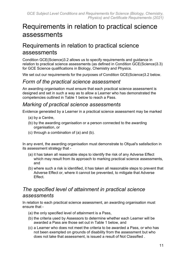# <span id="page-10-0"></span>Requirements in relation to practical science assessments

# <span id="page-10-1"></span>Requirements in relation to practical science assessments

Condition GCE(Science)3.2 allows us to specify requirements and guidance in relation to practical science assessments (as defined in Condition GCE(Science)3.3) for GCE Science qualifications in Biology, Chemistry and Physics.

We set out our requirements for the purposes of Condition GCE(Science)3.2 below.

### *Form of the practical science assessment*

An awarding organisation must ensure that each practical science assessment is designed and set in such a way as to allow a Learner who has demonstrated the competencies outlined in Table 1 below to reach a Pass.

### *Marking of practical science assessments*

Evidence generated by a Learner in a practical science assessment may be marked

- (a) by a Centre,
- (b) by the awarding organisation or a person connected to the awarding organisation, or
- (c) through a combination of (a) and (b).

In any event, the awarding organisation must demonstrate to Ofqual's satisfaction in its assessment strategy that -

- (a) it has taken all reasonable steps to identify the risk of any Adverse Effect which may result from its approach to marking practical science assessments, and
- (b) where such a risk is identified, it has taken all reasonable steps to prevent that Adverse Effect or, where it cannot be prevented, to mitigate that Adverse **Effect.**

# *The specified level of attainment in practical science assessments*

In relation to each practical science assessment, an awarding organisation must ensure that -

- (a) the only specified level of attainment is a Pass,
- (b) the criteria used by Assessors to determine whether each Learner will be awarded a Pass are those set out in Table 1 below, and
- (c) a Learner who does not meet the criteria to be awarded a Pass, or who has not been exempted on grounds of disability from the assessment but who does not take that assessment, is issued a result of Not Classified .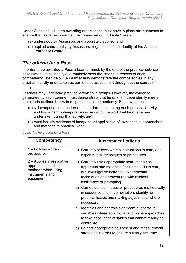Under Condition H1.1, an awarding organisation must have in place arrangements to ensure that, as far as possible, the criteria set out in Table 1 are -

- (a) understood by Assessors and accurately applied, and
- (b) applied consistently by Assessors, regardless of the identity of the Assessor, Learner or Centre.

### *The criteria for a Pass*

In order to be awarded a Pass a Learner must, by the end of the practical science assessment, consistently and routinely meet the criteria in respect of each competency listed below. A Learner may demonstrate the competencies in any practical activity undertaken as part of that assessment throughout the course of study.

Learners may undertake practical activities in groups. However, the evidence generated by each Learner must demonstrate that he or she independently meets the criteria outlined below in respect of each competency. Such evidence -

- (a) will comprise both the Learner's performance during each practical activity and his or her contemporaneous record of the work that he or she has undertaken during that activity, and
- (b) must include evidence of independent application of investigative approaches and methods to practical work.

| <b>Competency</b>                                                                                 | <b>Assessment criteria</b>                                                                                                                                                                                             |
|---------------------------------------------------------------------------------------------------|------------------------------------------------------------------------------------------------------------------------------------------------------------------------------------------------------------------------|
| 1 - Follows written<br>procedures                                                                 | a) Correctly follows written instructions to carry out<br>experimental techniques or procedures                                                                                                                        |
| 2 – Applies investigative<br>approaches and<br>methods when using<br>instruments and<br>equipment | a) Correctly uses appropriate instrumentation,<br>apparatus and materials (including ICT) to carry<br>out investigative activities, experimental<br>techniques and procedures with minimal<br>assistance or prompting. |
|                                                                                                   | b) Carries out techniques or procedures methodically,<br>in sequence and in combination, identifying<br>practical issues and making adjustments where<br>necessary.                                                    |
|                                                                                                   | c) Identifies and controls significant quantitative<br>variables where applicable, and plans approaches<br>to take account of variables that cannot readily be<br>controlled.                                          |
|                                                                                                   | d) Selects appropriate equipment and measurement<br>strategies in order to ensure suitably accurate                                                                                                                    |

|  |  |  | Table 1: The criteria for a Pass |  |  |  |
|--|--|--|----------------------------------|--|--|--|
|--|--|--|----------------------------------|--|--|--|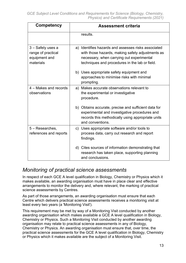| <b>Competency</b>                                                     | <b>Assessment criteria</b>                                                                                                                                                                             |  |
|-----------------------------------------------------------------------|--------------------------------------------------------------------------------------------------------------------------------------------------------------------------------------------------------|--|
|                                                                       | results.                                                                                                                                                                                               |  |
| 3 – Safely uses a<br>range of practical<br>equipment and<br>materials | a) Identifies hazards and assesses risks associated<br>with those hazards, making safety adjustments as<br>necessary, when carrying out experimental<br>techniques and procedures in the lab or field. |  |
|                                                                       | b) Uses appropriate safety equipment and<br>approaches to minimise risks with minimal<br>prompting.                                                                                                    |  |
| 4 – Makes and records<br>observations                                 | a) Makes accurate observations relevant to<br>the experimental or investigative<br>procedure.                                                                                                          |  |
|                                                                       | b) Obtains accurate, precise and sufficient data for<br>experimental and investigative procedures and<br>records this methodically using appropriate units<br>and conventions.                         |  |
| 5 - Researches,<br>references and reports                             | c) Uses appropriate software and/or tools to<br>process data, carry out research and report<br>findings.                                                                                               |  |
|                                                                       | d) Cites sources of information demonstrating that<br>research has taken place, supporting planning<br>and conclusions.                                                                                |  |

# *Monitoring of practical science assessments*

In respect of each GCE A level qualification in Biology, Chemistry or Physics which it makes available, an awarding organisation must have in place clear and effective arrangements to monitor the delivery and, where relevant, the marking of practical science assessments by Centres.

As part of those arrangements, an awarding organisation must ensure that each Centre which delivers practical science assessments receives a monitoring visit at least every two years (a 'Monitoring Visit').

This requirement may be met by way of a Monitoring Visit conducted by another awarding organisation which makes available a GCE A level qualification in Biology, Chemistry or Physics. Such a Monitoring Visit conducted by another awarding organisation may relate to practical science assessments in any of Biology, Chemistry or Physics. An awarding organisation must ensure that, over time, the practical science assessments for the GCE A level qualification in Biology, Chemistry or Physics which it makes available are the subject of a Monitoring Visit.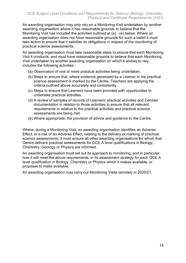An awarding organisation may only rely on a Monitoring Visit undertaken by another awarding organisation where it has reasonable grounds to believe that the Monitoring Visit has included the activities outlined at (a) - (e) below. Where an awarding organisation does not have reasonable grounds for such a belief it must take action to ensure that it satisfies its obligations in respect of the monitoring of practical science assessments.

An awarding organisation must take reasonable steps to ensure that each Monitoring Visit it conducts, and must have reasonable grounds to believe that each Monitoring Visit undertaken by another awarding organisation on which it wishes to rely, includes the following activities -

- (a) Observation of one or more practical activities being undertaken.
- (b) Steps to ensure that, where evidence generated by a Learner in the practical science assessment is marked by the Centre, Teachers are applying the criteria outlined above accurately and consistently.
- (c) Steps to ensure that Learners have been provided with opportunities to undertake practical activities.
- (d) A review of samples of records of Learners' practical activities and Centres' documentation in relation to those activities to ensure that all relevant requirements in relation to the practical activities and practical science assessments are being met.
- (e) Where appropriate, the provision of advice and guidance to the Centre.

Where, during a Monitoring Visit, an awarding organisation identifies an Adverse Effect, or a risk of an Adverse Effect, relating to the delivery or marking of practical science assessments, it must ensure all other awarding organisations for whom that Centre delivers practical assessments for GCE A level qualifications in Biology, Chemistry, Geology or Physics are informed.

An awarding organisation must set out its approach to monitoring, and in particular how it will meet the above requirements, in its assessment strategy for each GCE A level qualification in Biology, Chemistry or Physics which it makes available, or proposes to make available.

An awarding organisation may carry out Monitoring Visits remotely in 2020/21.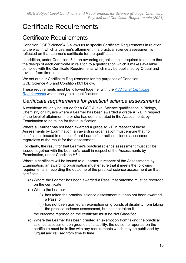# <span id="page-14-0"></span>Certificate Requirements

# <span id="page-14-1"></span>Certificate Requirements

Condition GCE(Science)4.3 allows us to specify Certificate Requirements in relation to the way in which a Learner's attainment in a practical science assessment is reflected on that Learner's certificate for the qualification.

In addition, under Condition I3.1, an awarding organisation is required to ensure that the design of each certificate in relation to a qualification which it makes available complies with the Certificate Requirements which may be published by Ofqual and revised from time to time.

We set out our Certificate Requirements for the purposes of Condition GCE(Science)4.3 and Condition I3.1 below.

These requirements must be followed together with the *[Additional Certificate](https://www.gov.uk/government/uploads/system/uploads/attachment_data/file/371129/2011-09-12-%20additional_certificate_requirements.pdf)  [Requirement](https://www.gov.uk/government/uploads/system/uploads/attachment_data/file/371129/2011-09-12-%20additional_certificate_requirements.pdf)*s which apply to all qualifications.

### *Certificate requirements for practical science assessments*

A certificate will only be issued for a GCE A level Science qualification in Biology, Chemistry or Physics where a Learner has been awarded a grade A\* - E in respect of the level of attainment he or she has demonstrated in the Assessments by Examination to be taken for that qualification.

Where a Learner has not been awarded a grade A\* - E in respect of those Assessments by Examination, an awarding organisation must ensure that no certificate is issued in respect of that Learner's practical science assessment, regardless of the result for that assessment.

For clarity, the result for that Learner's practical science assessment must still be issued, together with the Learner's result in respect of the Assessments by Examination, under Condition H6.1.

Where a certificate will be issued to a Learner in respect of the Assessments by Examination, an awarding organisation must ensure that it meets the following requirements in recording the outcome of the practical science assessment on that certificate -

- (a) Where the Learner has been awarded a Pass, that outcome must be recorded on the certificate.
- (b) Where the Learner
	- (i) has taken the practical science assessment but has not been awarded a Pass, or
	- (ii) has not been granted an exemption on grounds of disability from taking the practical science assessment, but has not taken it,

the outcome reported on the certificate must be Not Classified.

(c) Where the Learner has been granted an exemption from taking the practical science assessment on grounds of disability, the outcome reported on the certificate must be in line with any requirements which may be published by Ofqual and revised from time to time.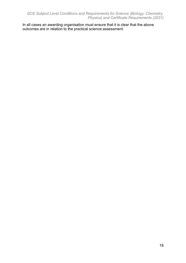In all cases an awarding organisation must ensure that it is clear that the above outcomes are in relation to the practical science assessment.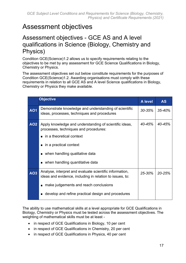# <span id="page-16-0"></span>Assessment objectives

# <span id="page-16-1"></span>Assessment objectives - GCE AS and A level qualifications in Science (Biology, Chemistry and Physics)

Condition GCE(Science)1.2 allows us to specify requirements relating to the objectives to be met by any assessment for GCE Science Qualifications in Biology, Chemistry or Physics.

The assessment objectives set out below constitute requirements for the purposes of Condition GCE(Science)1.2. Awarding organisations must comply with these requirements in relation to all GCE AS and A level Science qualifications in Biology, Chemistry or Physics they make available.

|            | <b>Objective</b>                                                                                                                                                                                                                                                                                   | <b>A</b> level | <b>AS</b> |
|------------|----------------------------------------------------------------------------------------------------------------------------------------------------------------------------------------------------------------------------------------------------------------------------------------------------|----------------|-----------|
| <b>AO1</b> | Demonstrate knowledge and understanding of scientific<br>ideas, processes, techniques and procedures                                                                                                                                                                                               | $30 - 35%$     | 35-40%    |
| <b>AO2</b> | Apply knowledge and understanding of scientific ideas,<br>processes, techniques and procedures:<br>in a theoretical context<br>$\blacksquare$<br>in a practical context<br>$\blacksquare$<br>when handling qualitative data<br>$\blacksquare$<br>when handling quantitative data<br>$\blacksquare$ | $40 - 45%$     | 40-45%    |
| <b>AO3</b> | Analyse, interpret and evaluate scientific information,<br>ideas and evidence, including in relation to issues, to:<br>make judgements and reach conclusions<br>п<br>develop and refine practical design and procedures<br>■                                                                       | $25 - 30%$     | 20-25%    |

The ability to use mathematical skills at a level appropriate for GCE Qualifications in Biology, Chemistry or Physics must be tested across the assessment objectives. The weighting of mathematical skills must be at least -

- in respect of GCE Qualifications in Biology, 10 per cent
- in respect of GCE Qualifications in Chemistry, 20 per cent
- in respect of GCE Qualifications in Physics, 40 per cent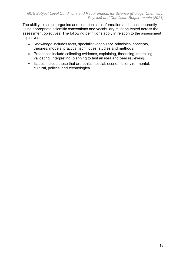The ability to select, organise and communicate information and ideas coherently using appropriate scientific conventions and vocabulary must be tested across the assessment objectives. The following definitions apply in relation to the assessment objectives:

- Knowledge includes facts, specialist vocabulary, principles, concepts, theories, models, practical techniques, studies and methods.
- Processes include collecting evidence, explaining, theorising, modelling, validating, interpreting, planning to test an idea and peer reviewing.
- Issues include those that are ethical, social, economic, environmental, cultural, political and technological.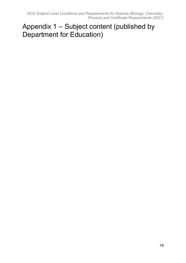*GCE Subject Level Conditions and Requirements for Science (Biology, Chemistry, Physics) and Certificate Requirements (2021)*

# <span id="page-18-0"></span>Appendix 1 – Subject content (published by Department for Education)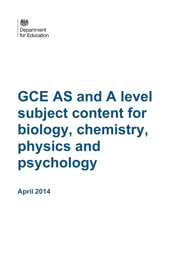

# **GCE AS and A level subject content for biology, chemistry, physics and psychology**

**April 2014**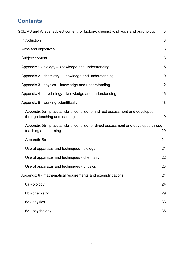# **Contents**

| GCE AS and A level subject content for biology, chemistry, physics and psychology                                | 3  |
|------------------------------------------------------------------------------------------------------------------|----|
| Introduction                                                                                                     | 3  |
| Aims and objectives                                                                                              | 3  |
| Subject content                                                                                                  | 3  |
| Appendix 1 - biology - knowledge and understanding                                                               | 5  |
| Appendix 2 - chemistry - knowledge and understanding                                                             | 9  |
| Appendix 3 - physics - knowledge and understanding                                                               | 12 |
| Appendix 4 - psychology – knowledge and understanding                                                            | 16 |
| Appendix 5 - working scientifically                                                                              | 18 |
| Appendix 5a - practical skills identified for indirect assessment and developed<br>through teaching and learning | 19 |
| Appendix 5b - practical skills identified for direct assessment and developed through<br>teaching and learning   | 20 |
| Appendix 5c -                                                                                                    | 21 |
| Use of apparatus and techniques - biology                                                                        | 21 |
| Use of apparatus and techniques - chemistry                                                                      | 22 |
| Use of apparatus and techniques - physics                                                                        | 23 |
| Appendix 6 - mathematical requirements and exemplifications                                                      | 24 |
| 6a - biology                                                                                                     | 24 |
| 6b - chemistry                                                                                                   | 29 |
| 6c - physics                                                                                                     | 33 |
| 6d - psychology                                                                                                  | 38 |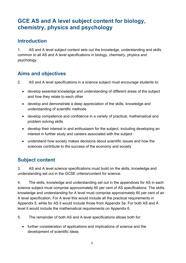# <span id="page-21-0"></span>**GCE AS and A level subject content for biology, chemistry, physics and psychology**

# <span id="page-21-1"></span>**Introduction**

1. AS and A level subject content sets out the knowledge, understanding and skills common to all AS and A level specifications in biology, chemistry, physics and psychology.

# <span id="page-21-2"></span>**Aims and objectives**

- 2. AS and A level specifications in a science subject must encourage students to:
	- develop essential knowledge and understanding of different areas of the subject and how they relate to each other
	- develop and demonstrate a deep appreciation of the skills, knowledge and understanding of scientific methods
	- develop competence and confidence in a variety of practical, mathematical and problem solving skills
	- develop their interest in and enthusiasm for the subject, including developing an interest in further study and careers associated with the subject
	- understand how society makes decisions about scientific issues and how the sciences contribute to the success of the economy and society

# <span id="page-21-3"></span>**Subject content**

3. AS and A level science specifications must build on the skills, knowledge and understanding set out in the GCSE criteria/content for science.

4. The skills, knowledge and understanding set out in the appendices for AS in each science subject must comprise approximately 60 per cent of AS specifications. The skills, knowledge and understanding for A level must comprise approximately 60 per cent of an A level specification. For A level this would include all the practical requirements in Appendix 5, while for AS it would include those from Appendix 5a. For both AS and A level it would include the mathematical requirements on Appendix 6.

5. The remainder of both AS and A level specifications allows both for:

• further consideration of applications and implications of science and the development of scientific ideas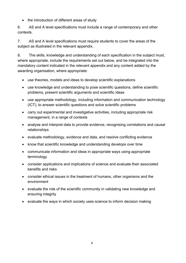• the introduction of different areas of study

6. AS and A level specifications must include a range of contemporary and other contexts.

7. AS and A level specifications must require students to cover the areas of the subject as illustrated in the relevant appendix.

8. The skills, knowledge and understanding of each specification in the subject must, where appropriate, include the requirements set out below, and be integrated into the mandatory content indicated in the relevant appendix and any content added by the awarding organisation, where appropriate:

- use theories, models and ideas to develop scientific explanations
- use knowledge and understanding to pose scientific questions, define scientific problems, present scientific arguments and scientific ideas
- use appropriate methodology, including information and communication technology (ICT), to answer scientific questions and solve scientific problems
- carry out experimental and investigative activities, including appropriate risk management, in a range of contexts
- analyse and interpret data to provide evidence, recognising correlations and causal relationships
- evaluate methodology, evidence and data, and resolve conflicting evidence
- know that scientific knowledge and understanding develops over time
- communicate information and ideas in appropriate ways using appropriate terminology
- consider applications and implications of science and evaluate their associated benefits and risks
- consider ethical issues in the treatment of humans, other organisms and the environment
- evaluate the role of the scientific community in validating new knowledge and ensuring integrity
- evaluate the ways in which society uses science to inform decision making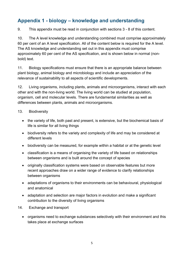# <span id="page-23-0"></span>**Appendix 1 - biology – knowledge and understanding**

9. This appendix must be read in conjunction with sections 3 - 8 of this content.

10. The A level knowledge and understanding combined must comprise approximately 60 per cent of an A level specification. All of the content below is required for the A level. The AS knowledge and understanding set out in this appendix must comprise approximately 60 per cent of the AS specification, and is shown below in normal (nonbold) text.

11. Biology specifications must ensure that there is an appropriate balance between plant biology, animal biology and microbiology and include an appreciation of the relevance of sustainability to all aspects of scientific developments.

12. Living organisms, including plants, animals and microorganisms, interact with each other and with the non-living world. The living world can be studied at population, organism, cell and molecular levels. There are fundamental similarities as well as differences between plants, animals and microorganisms.

### 13. Biodiversity

- the variety of life, both past and present, is extensive, but the biochemical basis of life is similar for all living things
- biodiversity refers to the variety and complexity of life and may be considered at different levels
- biodiversity can be measured, for example within a habitat or at the genetic level
- classification is a means of organising the variety of life based on relationships between organisms and is built around the concept of species
- originally classification systems were based on observable features but more recent approaches draw on a wider range of evidence to clarify relationships between organisms
- adaptations of organisms to their environments can be behavioural, physiological and anatomical
- adaptation and selection are major factors in evolution and make a significant contribution to the diversity of living organisms
- 14. Exchange and transport
	- organisms need to exchange substances selectively with their environment and this takes place at exchange surfaces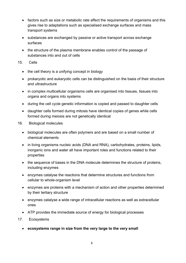- factors such as size or metabolic rate affect the requirements of organisms and this gives rise to adaptations such as specialised exchange surfaces and mass transport systems
- substances are exchanged by passive or active transport across exchange surfaces
- the structure of the plasma membrane enables control of the passage of substances into and out of cells

#### 15. Cells

- the cell theory is a unifying concept in biology
- prokaryotic and eukaryotic cells can be distinguished on the basis of their structure and ultrastructure
- in complex multicellular organisms cells are organised into tissues, tissues into organs and organs into systems
- during the cell cycle genetic information is copied and passed to daughter cells
- daughter cells formed during mitosis have identical copies of genes while cells formed during meiosis are not genetically identical
- 16. Biological molecules
	- biological molecules are often polymers and are based on a small number of chemical elements
	- in living organisms nucleic acids (DNA and RNA), carbohydrates, proteins, lipids, inorganic ions and water all have important roles and functions related to their properties
	- the sequence of bases in the DNA molecule determines the structure of proteins, including enzymes
	- enzymes catalyse the reactions that determine structures and functions from cellular to whole-organism level
	- enzymes are proteins with a mechanism of action and other properties determined by their tertiary structure
	- enzymes catalyse a wide range of intracellular reactions as well as extracellular ones
	- ATP provides the immediate source of energy for biological processes
- 17. Ecosystems
	- **ecosystems range in size from the very large to the very small**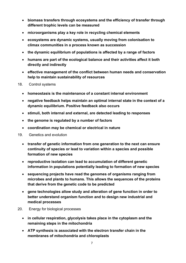- **biomass transfers through ecosystems and the efficiency of transfer through different trophic levels can be measured**
- **microorganisms play a key role in recycling chemical elements**
- **ecosystems are dynamic systems, usually moving from colonisation to climax communities in a process known as succession**
- **the dynamic equilibrium of populations is affected by a range of factors**
- **humans are part of the ecological balance and their activities affect it both directly and indirectly**
- **effective management of the conflict between human needs and conservation help to maintain sustainability of resources**
- 18. Control systems
	- **homeostasis is the maintenance of a constant internal environment**
	- **negative feedback helps maintain an optimal internal state in the context of a dynamic equilibrium. Positive feedback also occurs**
	- **stimuli, both internal and external, are detected leading to responses**
	- **the genome is regulated by a number of factors**
	- **coordination may be chemical or electrical in nature**
- 19. Genetics and evolution
	- **transfer of genetic information from one generation to the next can ensure continuity of species or lead to variation within a species and possible formation of new species**
	- **reproductive isolation can lead to accumulation of different genetic information in populations potentially leading to formation of new species**
	- **sequencing projects have read the genomes of organisms ranging from microbes and plants to humans. This allows the sequences of the proteins that derive from the genetic code to be predicted**
	- **gene technologies allow study and alteration of gene function in order to better understand organism function and to design new industrial and medical processes**
- 20. Energy for biological processes
	- **in cellular respiration, glycolysis takes place in the cytoplasm and the remaining steps in the mitochondria**
	- **ATP synthesis is associated with the electron transfer chain in the membranes of mitochondria and chloroplasts**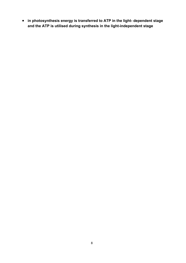• **in photosynthesis energy is transferred to ATP in the light- dependent stage and the ATP is utilised during synthesis in the light-independent stage**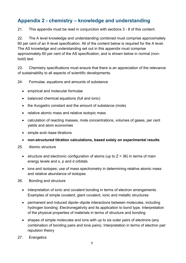# <span id="page-27-0"></span>**Appendix 2 - chemistry – knowledge and understanding**

21. This appendix must be read in conjunction with sections 3 - 8 of this content.

22. The A level knowledge and understanding combined must comprise approximately 60 per cent of an A level specification. All of the content below is required for the A level. The AS knowledge and understanding set out in this appendix must comprise approximately 60 per cent of the AS specification, and is shown below in normal (nonbold) text.

23. Chemistry specifications must ensure that there is an appreciation of the relevance of sustainability to all aspects of scientific developments.

24. Formulae, equations and amounts of substance

- empirical and molecular formulae
- balanced chemical equations (full and ionic)
- the Avogadro constant and the amount of substance (mole)
- relative atomic mass and relative isotopic mass
- calculation of reacting masses, mole concentrations, volumes of gases, per cent yields and atom economies
- simple acid–base titrations
- **non-structured titration calculations, based solely on experimental results**
- 25. Atomic structure
	- structure and electronic configuration of atoms (up to  $Z = 36$ ) in terms of main energy levels and s, p and d orbitals
	- ions and isotopes; use of mass spectrometry in determining relative atomic mass and relative abundance of isotopes
- 26. Bonding and structure
	- interpretation of ionic and covalent bonding in terms of electron arrangements. Examples of simple covalent, giant covalent, ionic and metallic structures
	- permanent and induced dipole–dipole interactions between molecules, including hydrogen bonding. Electronegativity and its application to bond type. Interpretation of the physical properties of materials in terms of structure and bonding
	- shapes of simple molecules and ions with up to six outer pairs of electrons (any combination of bonding pairs and lone pairs). Interpretation in terms of electron pair repulsion theory
- 27. Energetics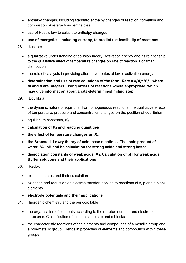- enthalpy changes, including standard enthalpy changes of reaction, formation and combustion. Average bond enthalpies
- use of Hess's law to calculate enthalpy changes
- **use of energetics, including entropy, to predict the feasibility of reactions**
- 28. Kinetics
	- a qualitative understanding of collision theory. Activation energy and its relationship to the qualitative effect of temperature changes on rate of reaction. Boltzman distribution
	- the role of catalysts in providing alternative routes of lower activation energy
	- **determination and use of rate equations of the form:** *Rate = k[A]m[B]n***, where**  *m* **and** *n* **are integers. Using orders of reactions where appropriate, which may give information about a rate-determining/limiting step**
- 29. Equilibria
	- the dynamic nature of equilibria. For homogeneous reactions, the qualitative effects of temperature, pressure and concentration changes on the position of equilibrium
	- equilibrium constants, *Kc*
	- **calculation of** *Kc* **and reacting quantities**
	- **the effect of temperature changes on** *Kc*
	- **the Bronsted–Lowry theory of acid–base reactions. The ionic product of water,** *Kw***; pH and its calculation for strong acids and strong bases**
	- **dissociation constants of weak acids,** *Ka***. Calculation of pH for weak acids. Buffer solutions and their applications**
- 30. Redox
	- oxidation states and their calculation
	- oxidation and reduction as electron transfer, applied to reactions of s, p and d block elements
	- **electrode potentials and their applications**
- 31. Inorganic chemistry and the periodic table
	- the organisation of elements according to their proton number and electronic structures. Classification of elements into s, p and d blocks
	- the characteristic reactions of the elements and compounds of a metallic group and a non-metallic group. Trends in properties of elements and compounds within these groups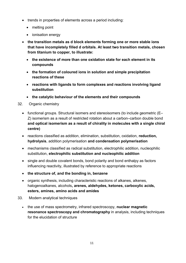- trends in properties of elements across a period including:
	- melting point
	- ionisation energy
- **the transition metals as d block elements forming one or more stable ions that have incompletely filled d orbitals. At least two transition metals, chosen from titanium to copper, to illustrate:**
	- **the existence of more than one oxidation state for each element in its compounds**
	- **the formation of coloured ions in solution and simple precipitation reactions of these**
	- **reactions with ligands to form complexes and reactions involving ligand substitution**
	- **the catalytic behaviour of the elements and their compounds**
- 32. Organic chemistry
	- functional groups. Structural isomers and stereoisomers (to include geometric (E– Z) isomerism as a result of restricted rotation about a carbon–carbon double bond **and optical isomerism as a result of chirality in molecules with a single chiral centre)**
	- reactions classified as addition, elimination, substitution, oxidation, **reduction, hydrolysis**, addition polymerisation **and condensation polymerisation**
	- mechanisms classified as radical substitution, electrophilic addition, nucleophilic substitution, **electrophilic substitution and nucleophilic addition**
	- single and double covalent bonds, bond polarity and bond enthalpy as factors influencing reactivity, illustrated by reference to appropriate reactions
	- **the structure of, and the bonding in, benzene**
	- organic synthesis, including characteristic reactions of alkanes, alkenes, halogenoalkanes, alcohols**, arenes, aldehydes, ketones, carboxylic acids, esters, amines, amino acids and amides**
- 33. Modern analytical techniques
	- the use of mass spectrometry, infrared spectroscopy, **nuclear magnetic resonance spectroscopy and chromatography** in analysis, including techniques for the elucidation of structure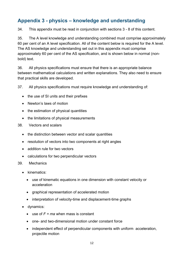# <span id="page-30-0"></span>**Appendix 3 - physics – knowledge and understanding**

34. This appendix must be read in conjunction with sections 3 - 8 of this content.

35. The A level knowledge and understanding combined must comprise approximately 60 per cent of an A level specification. All of the content below is required for the A level. The AS knowledge and understanding set out in this appendix must comprise approximately 60 per cent of the AS specification, and is shown below in normal (nonbold) text.

36. All physics specifications must ensure that there is an appropriate balance between mathematical calculations and written explanations. They also need to ensure that practical skills are developed.

37. All physics specifications must require knowledge and understanding of:

- the use of SI units and their prefixes
- Newton's laws of motion
- the estimation of physical quantities
- the limitations of physical measurements
- 38. Vectors and scalars
	- the distinction between vector and scalar quantities
	- resolution of vectors into two components at right angles
	- addition rule for two vectors
	- calculations for two perpendicular vectors

#### 39. Mechanics

- kinematics:
	- use of kinematic equations in one dimension with constant velocity or acceleration
	- graphical representation of accelerated motion
	- interpretation of velocity-time and displacement-time graphs
- dynamics:
	- use of *F = ma* when mass is constant
	- one- and two-dimensional motion under constant force
	- independent effect of perpendicular components with uniform acceleration, projectile motion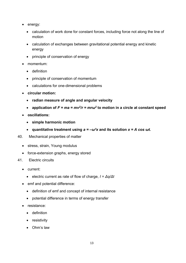- energy:
	- calculation of work done for constant forces, including force not along the line of motion
	- calculation of exchanges between gravitational potential energy and kinetic energy
	- principle of conservation of energy
- momentum:
	- definition
	- principle of conservation of momentum
	- calculations for one-dimensional problems
- **circular motion:** 
	- **radian measure of angle and angular velocity**
	- application of  $F = ma = mv^2/r = mr\omega^2$  to motion in a circle at constant speed
- **oscillations:** 
	- **simple harmonic motion**
	- **quantitative treatment using** *a = –ω²x* **and its solution** *x = A cos ωt***.**
- 40. Mechanical properties of matter
	- stress, strain, Young modulus
	- force-extension graphs, energy stored
- 41. Electric circuits
	- current:
		- electric current as rate of flow of charge, *I = Δq/Δt*
	- emf and potential difference:
		- definition of emf and concept of internal resistance
		- potential difference in terms of energy transfer
	- resistance:
		- definition
		- resistivity
		- Ohm's law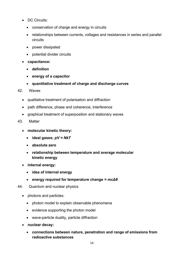- DC Circuits:
	- conservation of charge and energy in circuits
	- relationships between currents, voltages and resistances in series and parallel circuits
	- power dissipated
	- potential divider circuits
- **capacitance:** 
	- **definition**
	- **energy of a capacitor**
	- **quantitative treatment of charge and discharge curves**
- 42. Waves
	- qualitative treatment of polarisation and diffraction
	- path difference, phase and coherence, interference
	- graphical treatment of superposition and stationary waves
- 43. Matter
	- **molecular kinetic theory:** 
		- **ideal gases;** *pV = NkT*
		- **absolute zero**
		- **relationship between temperature and average molecular kinetic energy**
	- **internal energy:** 
		- **idea of internal energy**
		- **energy required for temperature change** *= mcΔθ*
- 44. Quantum and nuclear physics
	- photons and particles:
		- photon model to explain observable phenomena
		- evidence supporting the photon model
		- wave-particle duality, particle diffraction
	- **nuclear decay:** 
		- **connections between nature, penetration and range of emissions from radioactive substances**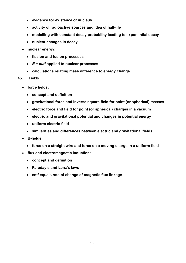- **evidence for existence of nucleus**
- **activity of radioactive sources and idea of half-life**
- **modelling with constant decay probability leading to exponential decay**
- **nuclear changes in decay**
- **nuclear energy:** 
	- **fission and fusion processes**
	- *E = mc2* **applied to nuclear processes**
	- **calculations relating mass difference to energy change**

#### 45. Fields

- **force fields:** 
	- **concept and definition**
	- **gravitational force and inverse square field for point (or spherical) masses**
	- **electric force and field for point (or spherical) charges in a vacuum**
	- **electric and gravitational potential and changes in potential energy**
	- **uniform electric field**
	- **similarities and differences between electric and gravitational fields**
- **B-fields:** 
	- **force on a straight wire and force on a moving charge in a uniform field**
- **flux and electromagnetic induction:** 
	- **concept and definition**
	- **Faraday's and Lenz's laws**
	- **emf equals rate of change of magnetic flux linkage**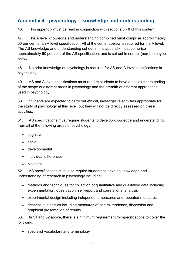# <span id="page-34-0"></span>**Appendix 4 - psychology – knowledge and understanding**

46. This appendix must be read in conjunction with sections 3 - 8 of this content.

47. The A level knowledge and understanding combined must comprise approximately 60 per cent of an A level specification. All of the content below is required for the A level. The AS knowledge and understanding set out in this appendix must comprise approximately 60 per cent of the AS specification, and is set out in normal (non-bold) type below.

48. No prior knowledge of psychology is required for AS and A level specifications in psychology.

49. AS and A level specifications must require students to have a basic understanding of the scope of different areas in psychology and the breadth of different approaches used in psychology.

50. Students are expected to carry out ethical, investigative activities appropriate for the study of psychology at this level, but they will not be directly assessed on these activities.

51. AS specifications must require students to develop knowledge and understanding from all of the following areas of psychology:

- cognitive
- social
- developmental
- individual differences
- biological

52. AS specifications must also require students to develop knowledge and understanding of research in psychology including:

- methods and techniques for collection of quantitative and qualitative data including experimentation, observation, self-report and correlational analysis
- experimental design including independent measures and repeated measures
- descriptive statistics including measures of central tendency, dispersion and graphical presentation of results

53. In 51 and 52 above, there is a minimum requirement for specifications to cover the following:

• specialist vocabulary and terminology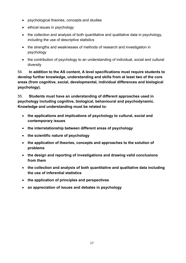- psychological theories, concepts and studies
- ethical issues in psychology
- the collection and analysis of both quantitative and qualitative data in psychology, including the use of descriptive statistics
- the strengths and weaknesses of methods of research and investigation in psychology
- the contribution of psychology to an understanding of individual, social and cultural diversity

54. **In addition to the AS content, A level specifications must require students to develop further knowledge, understanding and skills from at least two of the core areas (from cognitive, social, developmental, individual differences and biological psychology).**

55. **Students must have an understanding of different approaches used in psychology including cognitive, biological, behavioural and psychodynamic. Knowledge and understanding must be related to:**

- **the applications and implications of psychology to cultural, social and contemporary issues**
- **the interrelationship between different areas of psychology**
- **the scientific nature of psychology**
- **the application of theories, concepts and approaches to the solution of problems**
- **the design and reporting of investigations and drawing valid conclusions from them**
- **the collection and analysis of both quantitative and qualitative data including the use of inferential statistics**
- **the application of principles and perspectives**
- **an appreciation of issues and debates in psychology**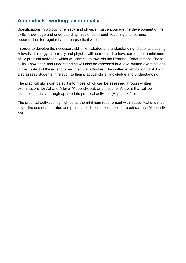# <span id="page-36-0"></span>**Appendix 5 - working scientifically**

Specifications in biology, chemistry and physics must encourage the development of the skills, knowledge and understanding in science through teaching and learning opportunities for regular hands-on practical work.

In order to develop the necessary skills, knowledge and understanding, students studying A levels in biology, chemistry and physics will be required to have carried out a minimum of 12 practical activities, which will contribute towards the Practical Endorsement. These skills, knowledge and understanding will also be assessed in A level written examinations in the context of these, and other, practical activities. The written examination for AS will also assess students in relation to their practical skills, knowledge and understanding.

The practical skills can be split into those which can be assessed through written examinations for AS and A level (Appendix 5a); and those for A levels that will be assessed directly through appropriate practical activities (Appendix 5b).

The practical activities highlighted as the minimum requirement within specifications must cover the use of apparatus and practical techniques identified for each science (Appendix 5c).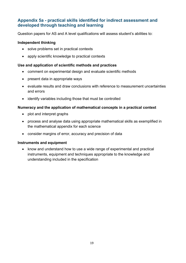### <span id="page-37-0"></span>**Appendix 5a - practical skills identified for indirect assessment and developed through teaching and learning**

Question papers for AS and A level qualifications will assess student's abilities to:

#### **Independent thinking**

- solve problems set in practical contexts
- apply scientific knowledge to practical contexts

#### **Use and application of scientific methods and practices**

- comment on experimental design and evaluate scientific methods
- present data in appropriate ways
- evaluate results and draw conclusions with reference to measurement uncertainties and errors
- identify variables including those that must be controlled

#### **Numeracy and the application of mathematical concepts in a practical context**

- plot and interpret graphs
- process and analyse data using appropriate mathematical skills as exemplified in the mathematical appendix for each science
- consider margins of error, accuracy and precision of data

#### **Instruments and equipment**

• know and understand how to use a wide range of experimental and practical instruments, equipment and techniques appropriate to the knowledge and understanding included in the specification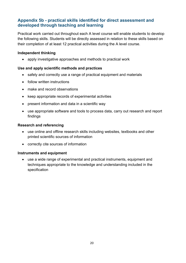### <span id="page-38-0"></span>**Appendix 5b - practical skills identified for direct assessment and developed through teaching and learning**

Practical work carried out throughout each A level course will enable students to develop the following skills. Students will be directly assessed in relation to these skills based on their completion of at least 12 practical activities during the A level course.

#### **Independent thinking**

• apply investigative approaches and methods to practical work

#### **Use and apply scientific methods and practices**

- safely and correctly use a range of practical equipment and materials
- follow written instructions
- make and record observations
- keep appropriate records of experimental activities
- present information and data in a scientific way
- use appropriate software and tools to process data, carry out research and report findings

#### **Research and referencing**

- use online and offline research skills including websites, textbooks and other printed scientific sources of information
- correctly cite sources of information

#### **Instruments and equipment**

• use a wide range of experimental and practical instruments, equipment and techniques appropriate to the knowledge and understanding included in the specification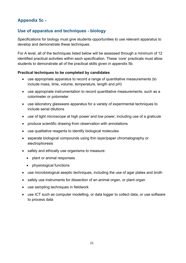### <span id="page-39-0"></span>**Appendix 5c -**

### <span id="page-39-1"></span>**Use of apparatus and techniques - biology**

Specifications for biology must give students opportunities to use relevant apparatus to develop and demonstrate these techniques.

For A level, all of the techniques listed below will be assessed through a minimum of 12 identified practical activities within each specification. These 'core' practicals must allow students to demonstrate all of the practical skills given in appendix 5b.

### **Practical techniques to be completed by candidates**

- use appropriate apparatus to record a range of quantitative measurements (to include mass, time, volume, temperature, length and pH)
- use appropriate instrumentation to record quantitative measurements, such as a colorimeter or potometer
- use laboratory glassware apparatus for a variety of experimental techniques to include serial dilutions
- use of light microscope at high power and low power, including use of a graticule
- produce scientific drawing from observation with annotations
- use qualitative reagents to identify biological molecules
- separate biological compounds using thin layer/paper chromatography or electrophoresis
- safely and ethically use organisms to measure:
	- plant or animal responses
	- physiological functions
- use microbiological aseptic techniques, including the use of agar plates and broth
- safely use instruments for dissection of an animal organ, or plant organ
- use sampling techniques in fieldwork
- use ICT such as computer modelling, or data logger to collect data, or use software to process data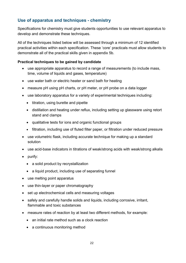### <span id="page-40-0"></span>**Use of apparatus and techniques - chemistry**

Specifications for chemistry must give students opportunities to use relevant apparatus to develop and demonstrate these techniques.

All of the techniques listed below will be assessed through a minimum of 12 identified practical activities within each specification. These 'core' practicals must allow students to demonstrate all of the practical skills given in appendix 5b.

#### **Practical techniques to be gained by candidate**

- use appropriate apparatus to record a range of measurements (to include mass, time, volume of liquids and gases, temperature)
- use water bath or electric heater or sand bath for heating
- measure pH using pH charts, or pH meter, or pH probe on a data logger
- use laboratory apparatus for a variety of experimental techniques including:
	- titration, using burette and pipette
	- distillation and heating under reflux, including setting up glassware using retort stand and clamps
	- qualitative tests for ions and organic functional groups
	- filtration, including use of fluted filter paper, or filtration under reduced pressure
- use volumetric flask, including accurate technique for making up a standard solution
- use acid-base indicators in titrations of weak/strong acids with weak/strong alkalis
- purify:
	- a solid product by recrystallization
	- a liquid product, including use of separating funnel
- use melting point apparatus
- use thin-layer or paper chromatography
- set up electrochemical cells and measuring voltages
- safely and carefully handle solids and liquids, including corrosive, irritant, flammable and toxic substances
- measure rates of reaction by at least two different methods, for example:
	- an initial rate method such as a clock reaction
	- a continuous monitoring method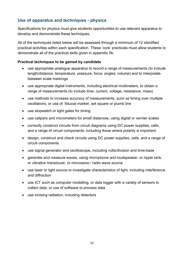### <span id="page-41-0"></span>**Use of apparatus and techniques - physics**

Specifications for physics must give students opportunities to use relevant apparatus to develop and demonstrate these techniques.

All of the techniques listed below will be assessed through a minimum of 12 identified practical activities within each specification. These 'core' practicals must allow students to demonstrate all of the practical skills given in appendix 5b.

#### **Practical techniques to be gained by candidate**

- use appropriate analogue apparatus to record a range of measurements (to include length/distance, temperature, pressure, force, angles, volume) and to interpolate between scale markings
- use appropriate digital instruments, including electrical multimeters, to obtain a range of measurements (to include time, current, voltage, resistance, mass)
- use methods to increase accuracy of measurements, such as timing over multiple oscillations, or use of fiducial marker, set square or plumb line
- use stopwatch or light gates for timing
- use calipers and micrometers for small distances, using digital or vernier scales
- correctly construct circuits from circuit diagrams using DC power supplies, cells, and a range of circuit components, including those where polarity is important
- design, construct and check circuits using DC power supplies, cells, and a range of circuit components
- use signal generator and oscilloscope, including volts/division and time-base
- generate and measure waves, using microphone and loudspeaker, or ripple tank, or vibration transducer, or microwave / radio wave source
- use laser or light source to investigate characteristics of light, including interference and diffraction
- use ICT such as computer modelling, or data logger with a variety of sensors to collect data, or use of software to process data
- use ionising radiation, including detectors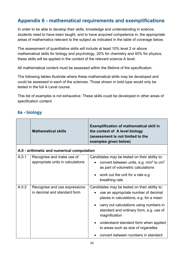# <span id="page-42-0"></span>**Appendix 6 - mathematical requirements and exemplifications**

In order to be able to develop their skills, knowledge and understanding in science, students need to have been taught, and to have acquired competence in, the appropriate areas of mathematics relevant to the subject as indicated in the table of coverage below.

The assessment of quantitative skills will include at least 10% level 2 or above mathematical skills for biology and psychology, 20% for chemistry and 40% for physics, these skills will be applied in the context of the relevant science A level.

All mathematical content must be assessed within the lifetime of the specification.

The following tables illustrate where these mathematical skills may be developed and could be assessed in each of the sciences. Those shown in bold type would only be tested in the full A Level course.

This list of examples is not exhaustive. These skills could be developed in other areas of specification content.

### <span id="page-42-1"></span>**6a - biology**

|       | <b>Mathematical skills</b>                                     | <b>Exemplification of mathematical skill in</b><br>the context of A level biology<br>(assessment is not limited to the<br>examples given below) |
|-------|----------------------------------------------------------------|-------------------------------------------------------------------------------------------------------------------------------------------------|
|       | A.0 - arithmetic and numerical computation                     |                                                                                                                                                 |
| A.0.1 | Recognise and make use of<br>appropriate units in calculations | Candidates may be tested on their ability to:<br>convert between units, e.g. $mm3$ to $cm3$<br>as part of volumetric calculations               |
|       |                                                                | work out the unit for a rate e.g.<br>breathing rate                                                                                             |
| A.0.2 | Recognise and use expressions<br>in decimal and standard form  | Candidates may be tested on their ability to:<br>use an appropriate number of decimal<br>places in calculations, e.g. for a mean                |
|       |                                                                | carry out calculations using numbers in<br>standard and ordinary form, e.g. use of<br>magnification                                             |
|       |                                                                | understand standard form when applied<br>to areas such as size of organelles                                                                    |
|       |                                                                | convert between numbers in standard                                                                                                             |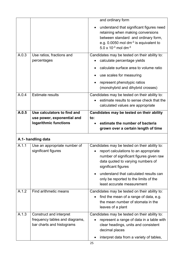|       |                                                                                        | and ordinary form                                                                                                                                                                                                 |
|-------|----------------------------------------------------------------------------------------|-------------------------------------------------------------------------------------------------------------------------------------------------------------------------------------------------------------------|
|       |                                                                                        | understand that significant figures need<br>retaining when making conversions<br>between standard and ordinary form,<br>e.g. 0.0050 mol dm <sup>-3</sup> is equivalent to<br>5.0 x $10^{-3}$ mol dm <sup>-3</sup> |
| A.0.3 | Use ratios, fractions and<br>percentages                                               | Candidates may be tested on their ability to:<br>calculate percentage yields                                                                                                                                      |
|       |                                                                                        | calculate surface area to volume ratio                                                                                                                                                                            |
|       |                                                                                        | use scales for measuring                                                                                                                                                                                          |
|       |                                                                                        | represent phenotypic ratios<br>(monohybrid and dihybrid crosses)                                                                                                                                                  |
| A.0.4 | <b>Estimate results</b>                                                                | Candidates may be tested on their ability to:<br>estimate results to sense check that the<br>calculated values are appropriate                                                                                    |
| A.0.5 | Use calculators to find and                                                            | Candidates may be tested on their ability                                                                                                                                                                         |
|       | use power, exponential and                                                             | to:                                                                                                                                                                                                               |
|       | logarithmic functions                                                                  | estimate the number of bacteria                                                                                                                                                                                   |
|       |                                                                                        | grown over a certain length of time                                                                                                                                                                               |
|       | A.1- handling data                                                                     |                                                                                                                                                                                                                   |
| A.1.1 | Use an appropriate number of<br>significant figures                                    | Candidates may be tested on their ability to:<br>report calculations to an appropriate<br>number of significant figures given raw<br>data quoted to varying numbers of<br>significant figures                     |
|       |                                                                                        | understand that calculated results can<br>only be reported to the limits of the<br>least accurate measurement                                                                                                     |
| A.1.2 | Find arithmetic means                                                                  | Candidates may be tested on their ability to:<br>find the mean of a range of data, e.g.<br>the mean number of stomata in the<br>leaves of a plant                                                                 |
| A.1.3 | Construct and interpret<br>frequency tables and diagrams,<br>bar charts and histograms | Candidates may be tested on their ability to:<br>represent a range of data in a table with<br>clear headings, units and consistent<br>decimal places<br>interpret data from a variety of tables,                  |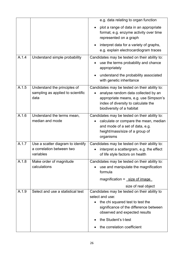|       |                                                                             | e.g. data relating to organ function                                                                                                                                                                   |
|-------|-----------------------------------------------------------------------------|--------------------------------------------------------------------------------------------------------------------------------------------------------------------------------------------------------|
|       |                                                                             | plot a range of data in an appropriate<br>format, e.g. enzyme activity over time<br>represented on a graph                                                                                             |
|       |                                                                             | interpret data for a variety of graphs,<br>e.g. explain electrocardiogram traces                                                                                                                       |
| A.1.4 | Understand simple probability                                               | Candidates may be tested on their ability to:<br>use the terms probability and chance<br>appropriately                                                                                                 |
|       |                                                                             | understand the probability associated<br>with genetic inheritance                                                                                                                                      |
| A.1.5 | Understand the principles of<br>sampling as applied to scientific<br>data   | Candidates may be tested on their ability to:<br>analyse random data collected by an<br>appropriate means, e.g. use Simpson's<br>index of diversity to calculate the<br>biodiversity of a habitat      |
| A.1.6 | Understand the terms mean,<br>median and mode                               | Candidates may be tested on their ability to:<br>calculate or compare the mean, median<br>and mode of a set of data, e.g.<br>height/mass/size of a group of<br>organisms                               |
| A.1.7 | Use a scatter diagram to identify<br>a correlation between two<br>variables | Candidates may be tested on their ability to:<br>interpret a scattergram, e.g. the effect<br>of life style factors on health                                                                           |
| A.1.8 | Make order of magnitude<br>calculations                                     | Candidates may be tested on their ability to:<br>use and manipulate the magnification<br>formula                                                                                                       |
|       |                                                                             | magnification $=$ size of image                                                                                                                                                                        |
|       |                                                                             | size of real object                                                                                                                                                                                    |
| A.1.9 | Select and use a statistical test                                           | Candidates may be tested on their ability to<br>select and use:<br>the chi squared test to test the<br>significance of the difference between<br>observed and expected results<br>the Student's t-test |
|       |                                                                             | the correlation coefficient                                                                                                                                                                            |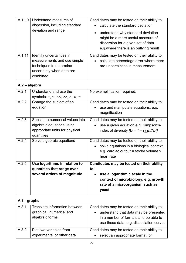| A.1.10<br>A.1.11 | Understand measures of<br>dispersion, including standard<br>deviation and range<br>Identify uncertainties in<br>measurements and use simple<br>techniques to determine<br>uncertainty when data are<br>combined | Candidates may be tested on their ability to:<br>calculate the standard deviation<br>understand why standard deviation<br>$\bullet$<br>might be a more useful measure of<br>dispersion for a given set of data<br>e.g. where there is an outlying result<br>Candidates may be tested on their ability to:<br>calculate percentage error where there<br>are uncertainties in measurement |
|------------------|-----------------------------------------------------------------------------------------------------------------------------------------------------------------------------------------------------------------|-----------------------------------------------------------------------------------------------------------------------------------------------------------------------------------------------------------------------------------------------------------------------------------------------------------------------------------------------------------------------------------------|
| A.2 - algebra    |                                                                                                                                                                                                                 |                                                                                                                                                                                                                                                                                                                                                                                         |
| A.2.1            | Understand and use the<br>symbols: =, <, <<, >>, >, $\alpha$ , $\alpha$ .                                                                                                                                       | No exemplification required.                                                                                                                                                                                                                                                                                                                                                            |
| A.2.2            | Change the subject of an<br>equation                                                                                                                                                                            | Candidates may be tested on their ability to:<br>use and manipulate equations, e.g.<br>magnification                                                                                                                                                                                                                                                                                    |
| A.2.3            | Substitute numerical values into<br>algebraic equations using<br>appropriate units for physical<br>quantities                                                                                                   | Candidates may be tested on their ability to:<br>use a given equation e.g. Simpson's-<br>index of diversity $[D = 1 - (\Sigma(n/N)^2]$                                                                                                                                                                                                                                                  |
| A.2.4            | Solve algebraic equations                                                                                                                                                                                       | Candidates may be tested on their ability to:<br>solve equations in a biological context,<br>e.g. cardiac output = stroke volume $x$<br>heart rate                                                                                                                                                                                                                                      |
| A.2.5            | Use logarithms in relation to                                                                                                                                                                                   | Candidates may be tested on their ability                                                                                                                                                                                                                                                                                                                                               |
|                  | quantities that range over<br>several orders of magnitude                                                                                                                                                       | to:<br>use a logarithmic scale in the<br>context of microbiology, e.g. growth<br>rate of a microorganism such as<br>yeast                                                                                                                                                                                                                                                               |
| A.3 - graphs     |                                                                                                                                                                                                                 |                                                                                                                                                                                                                                                                                                                                                                                         |
| A.3.1            | Translate information between<br>graphical, numerical and<br>algebraic forms                                                                                                                                    | Candidates may be tested on their ability to:<br>understand that data may be presented<br>in a number of formats and be able to<br>use these data, e.g. dissociation curves                                                                                                                                                                                                             |
| A.3.2            | Plot two variables from<br>experimental or other data                                                                                                                                                           | Candidates may be tested on their ability to:<br>select an appropriate format for                                                                                                                                                                                                                                                                                                       |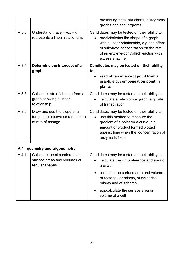|       |                                                                                     | presenting data, bar charts, histograms,<br>graphs and scattergrams                                                                                                                                                                     |
|-------|-------------------------------------------------------------------------------------|-----------------------------------------------------------------------------------------------------------------------------------------------------------------------------------------------------------------------------------------|
| A.3.3 | Understand that $y = mx + c$<br>represents a linear relationship                    | Candidates may be tested on their ability to:<br>predict/sketch the shape of a graph<br>with a linear relationship, e.g. the effect<br>of substrate concentration on the rate<br>of an enzyme-controlled reaction with<br>excess enzyme |
| A.3.4 | Determine the intercept of a                                                        | Candidates may be tested on their ability                                                                                                                                                                                               |
|       | graph                                                                               | to:<br>read off an intercept point from a<br>graph, e.g. compensation point in<br>plants                                                                                                                                                |
| A.3.5 | Calculate rate of change from a<br>graph showing a linear<br>relationship           | Candidates may be tested on their ability to:<br>calculate a rate from a graph, e.g. rate<br>of transpiration                                                                                                                           |
| A.3.6 | Draw and use the slope of a<br>tangent to a curve as a measure<br>of rate of change | Candidates may be tested on their ability to:<br>use this method to measure the<br>gradient of a point on a curve, e.g.<br>amount of product formed plotted<br>against time when the concentration of<br>enzyme is fixed                |
|       | A.4 - geometry and trigonometry                                                     |                                                                                                                                                                                                                                         |
| A.4.1 | Calculate the circumferences.<br>surface areas and volumes of<br>regular shapes     | Candidates may be tested on their ability to:<br>calculate the circumference and area of<br>a circle                                                                                                                                    |
|       |                                                                                     | calculate the surface area and volume<br>of rectangular prisms, of cylindrical<br>prisms and of spheres                                                                                                                                 |
|       |                                                                                     | e.g. calculate the surface area or<br>volume of a cell                                                                                                                                                                                  |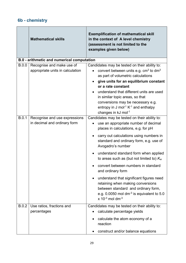### <span id="page-47-0"></span>**6b - chemistry**

|       | <b>Mathematical skills</b>                                    | <b>Exemplification of mathematical skill</b><br>in the context of A level chemistry<br>(assessment is not limited to the<br>examples given below)                                                                                                                                                                                                                                                                                                                                                                                                                                                                |
|-------|---------------------------------------------------------------|------------------------------------------------------------------------------------------------------------------------------------------------------------------------------------------------------------------------------------------------------------------------------------------------------------------------------------------------------------------------------------------------------------------------------------------------------------------------------------------------------------------------------------------------------------------------------------------------------------------|
|       | <b>B.0 - arithmetic and numerical computation</b>             |                                                                                                                                                                                                                                                                                                                                                                                                                                                                                                                                                                                                                  |
| B.0.0 | Recognise and make use of<br>appropriate units in calculation | Candidates may be tested on their ability to:<br>convert between units e.g. cm <sup>3</sup> to dm <sup>3</sup><br>as part of volumetric calculations<br>give units for an equilibrium constant<br>or a rate constant<br>understand that different units are used<br>in similar topic areas, so that<br>conversions may be necessary e.g.<br>entropy in J mol <sup>-1</sup> $K$ <sup>-1</sup> and enthalpy<br>changes in kJ mol-1                                                                                                                                                                                 |
| B.0.1 | Recognise and use expressions<br>in decimal and ordinary form | Candidates may be tested on their ability to:<br>use an appropriate number of decimal<br>places in calculations, e.g. for pH<br>carry out calculations using numbers in<br>standard and ordinary form, e.g. use of<br>Avogadro's number<br>understand standard form when applied<br>to areas such as (but not limited to) $K_w$<br>convert between numbers in standard<br>and ordinary form<br>understand that significant figures need<br>retaining when making conversions<br>between standard and ordinary form,<br>e.g. 0.0050 mol dm <sup>-3</sup> is equivalent to 5.0<br>$x 10^{-3}$ mol dm <sup>-3</sup> |
| B.0.2 | Use ratios, fractions and<br>percentages                      | Candidates may be tested on their ability to:<br>calculate percentage yields<br>calculate the atom economy of a<br>reaction<br>construct and/or balance equations                                                                                                                                                                                                                                                                                                                                                                                                                                                |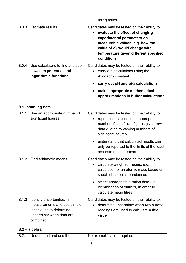|              |                                                                                                                              | using ratios                                                                                                                                                                                                                                          |
|--------------|------------------------------------------------------------------------------------------------------------------------------|-------------------------------------------------------------------------------------------------------------------------------------------------------------------------------------------------------------------------------------------------------|
| <b>B.0.3</b> | <b>Estimate results</b>                                                                                                      | Candidates may be tested on their ability to:<br>evaluate the effect of changing<br>experimental parameters on<br>measurable values, e.g. how the<br>value of K <sub>c</sub> would change with<br>temperature given different specified<br>conditions |
| <b>B.0.4</b> | Use calculators to find and use<br>power, exponential and<br>logarithmic functions                                           | Candidates may be tested on their ability to:<br>carry out calculations using the<br>Avogadro constant                                                                                                                                                |
|              |                                                                                                                              | carry out pH and $pK_a$ calculations                                                                                                                                                                                                                  |
|              |                                                                                                                              | make appropriate mathematical<br>approximations in buffer calculations                                                                                                                                                                                |
|              | <b>B.1- handling data</b>                                                                                                    |                                                                                                                                                                                                                                                       |
| B.1.1        | Use an appropriate number of<br>significant figures                                                                          | Candidates may be tested on their ability to:<br>report calculations to an appropriate<br>number of significant figures given raw<br>data quoted to varying numbers of<br>significant figures<br>understand that calculated results can               |
|              |                                                                                                                              | only be reported to the limits of the least<br>accurate measurement                                                                                                                                                                                   |
| <b>B.1.2</b> | Find arithmetic means                                                                                                        | Candidates may be tested on their ability to:<br>calculate weighted means, e.g.<br>calculation of an atomic mass based on<br>supplied isotopic abundances<br>select appropriate titration data (i.e.<br>identification of outliers) in order to       |
|              |                                                                                                                              | calculate mean titres                                                                                                                                                                                                                                 |
| <b>B.1.3</b> | Identify uncertainties in<br>measurements and use simple<br>techniques to determine<br>uncertainty when data are<br>combined | Candidates may be tested on their ability to:<br>determine uncertainty when two burette<br>readings are used to calculate a titre<br>value                                                                                                            |
|              | B.2 - algebra                                                                                                                |                                                                                                                                                                                                                                                       |
| B.2.1        | Understand and use the                                                                                                       | No exemplification required.                                                                                                                                                                                                                          |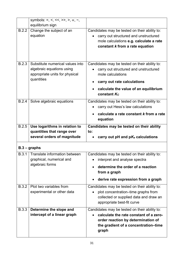|              | symbols: =, <, <<, >>, >, $\alpha$ , $\alpha$ , $\alpha$ ,<br>equilibrium sign                                |                                                                                                                                                                                                    |
|--------------|---------------------------------------------------------------------------------------------------------------|----------------------------------------------------------------------------------------------------------------------------------------------------------------------------------------------------|
| B.2.2        | Change the subject of an<br>equation                                                                          | Candidates may be tested on their ability to:<br>carry out structured and unstructured<br>mole calculations e.g. calculate a rate<br>constant k from a rate equation                               |
| <b>B.2.3</b> | Substitute numerical values into<br>algebraic equations using<br>appropriate units for physical<br>quantities | Candidates may be tested on their ability to:<br>carry out structured and unstructured<br>mole calculations<br>carry out rate calculations<br>calculate the value of an equilibrium<br>constant Kc |
| B.2.4        | Solve algebraic equations                                                                                     | Candidates may be tested on their ability to:<br>carry out Hess's law calculations<br>calculate a rate constant k from a rate<br>equation                                                          |
| B.2.5        | Use logarithms in relation to                                                                                 | Candidates may be tested on their ability                                                                                                                                                          |
|              | quantities that range over                                                                                    | to:                                                                                                                                                                                                |
|              | several orders of magnitude                                                                                   | carry out pH and $pK_a$ calculations                                                                                                                                                               |
|              | $B.3 - graphs$                                                                                                |                                                                                                                                                                                                    |
| B.3.1        | Translate information between<br>graphical, numerical and                                                     | Candidates may be tested on their ability to:<br>interpret and analyse spectra                                                                                                                     |
|              | algebraic forms                                                                                               | determine the order of a reaction<br>from a graph                                                                                                                                                  |
|              |                                                                                                               | derive rate expression from a graph                                                                                                                                                                |
| <b>B.3.2</b> | Plot two variables from<br>experimental or other data                                                         | Candidates may be tested on their ability to:<br>plot concentration-time graphs from<br>collected or supplied data and draw an<br>appropriate best-fit curve                                       |
| <b>B.3.3</b> | Determine the slope and<br>intercept of a linear graph                                                        | Candidates may be tested on their ability to:<br>calculate the rate constant of a zero-<br>order reaction by determination of<br>the gradient of a concentration-time<br>graph                     |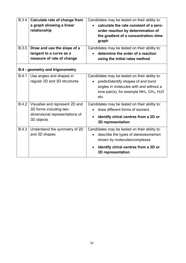| <b>B.3.4</b> | <b>Calculate rate of change from</b><br>a graph showing a linear<br>relationship                          | Candidates may be tested on their ability to:<br>calculate the rate constant of a zero-<br>order reaction by determination of<br>the gradient of a concentration-time<br>graph               |
|--------------|-----------------------------------------------------------------------------------------------------------|----------------------------------------------------------------------------------------------------------------------------------------------------------------------------------------------|
| <b>B.3.5</b> | Draw and use the slope of a<br>tangent to a curve as a<br>measure of rate of change                       | Candidates may be tested on their ability to:<br>determine the order of a reaction<br>using the initial rates method                                                                         |
|              | <b>B.4 - geometry and trigonometry</b>                                                                    |                                                                                                                                                                                              |
| <b>B.4.1</b> | Use angles and shapes in<br>regular 2D and 3D structures                                                  | Candidates may be tested on their ability to:<br>predict/identify shapes of and bond<br>angles in molecules with and without a<br>lone pair(s), for example $NH_3$ , $CH_4$ , $H_2O$<br>etc. |
| <b>B.4.2</b> | Visualise and represent 2D and<br>3D forms including two-<br>dimensional representations of<br>3D objects | Candidates may be tested on their ability to:<br>draw different forms of isomers<br>identify chiral centres from a 2D or<br><b>3D representation</b>                                         |
| <b>B.4.3</b> | Understand the symmetry of 2D<br>and 3D shapes                                                            | Candidates may be tested on their ability to:<br>describe the types of stereoisomerism<br>shown by molecules/complexes                                                                       |
|              |                                                                                                           | identify chiral centres from a 2D or<br><b>3D representation</b>                                                                                                                             |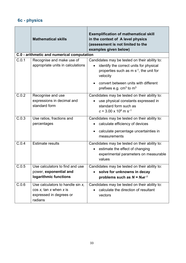# <span id="page-51-0"></span>**6c - physics**

|       | <b>Mathematical skills</b>                                                                             | <b>Exemplification of mathematical skill</b><br>in the context of A level physics<br>(assessment is not limited to the<br>examples given below)           |
|-------|--------------------------------------------------------------------------------------------------------|-----------------------------------------------------------------------------------------------------------------------------------------------------------|
|       | C.0 - arithmetic and numerical computation                                                             |                                                                                                                                                           |
| C.0.1 | Recognise and make use of<br>appropriate units in calculations                                         | Candidates may be tested on their ability to:<br>identify the correct units for physical<br>properties such as $m s^{-1}$ , the unit for<br>velocity      |
|       |                                                                                                        | convert between units with different<br>$\bullet$<br>prefixes e.g. $cm3$ to $m3$                                                                          |
| C.0.2 | Recognise and use<br>expressions in decimal and<br>standard form                                       | Candidates may be tested on their ability to:<br>use physical constants expressed in<br>standard form such as<br>$c = 3.00 \times 10^8$ m s <sup>-1</sup> |
| C.0.3 | Use ratios, fractions and<br>percentages                                                               | Candidates may be tested on their ability to:<br>calculate efficiency of devices                                                                          |
|       |                                                                                                        | calculate percentage uncertainties in<br>measurements                                                                                                     |
| C.0.4 | <b>Estimate results</b>                                                                                | Candidates may be tested on their ability to:<br>estimate the effect of changing<br>$\bullet$<br>experimental parameters on measurable<br>values          |
| C.0.5 | Use calculators to find and use                                                                        | Candidates may be tested on their ability to:                                                                                                             |
|       | power, exponential and                                                                                 | solve for unknowns in decay                                                                                                                               |
|       | logarithmic functions                                                                                  | problems such as $N = N_0 e^{-\lambda t}$                                                                                                                 |
| C.0.6 | Use calculators to handle sin $x$ ,<br>$cos x$ , tan x when x is<br>expressed in degrees or<br>radians | Candidates may be tested on their ability to:<br>calculate the direction of resultant<br>vectors                                                          |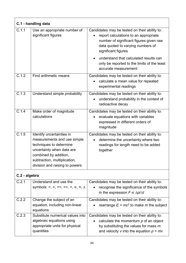| C.1 - handling data |                                                                                                                                                                                                             |                                                                                                                                                                                               |
|---------------------|-------------------------------------------------------------------------------------------------------------------------------------------------------------------------------------------------------------|-----------------------------------------------------------------------------------------------------------------------------------------------------------------------------------------------|
| C.1.1               | Use an appropriate number of<br>significant figures                                                                                                                                                         | Candidates may be tested on their ability to:<br>report calculations to an appropriate<br>number of significant figures given raw<br>data quoted to varying numbers of<br>significant figures |
|                     |                                                                                                                                                                                                             | understand that calculated results can<br>only be reported to the limits of the least<br>accurate measurement                                                                                 |
| C.1.2               | Find arithmetic means                                                                                                                                                                                       | Candidates may be tested on their ability to:<br>calculate a mean value for repeated<br>experimental readings                                                                                 |
| $\overline{C.1.3}$  | Understand simple probability                                                                                                                                                                               | Candidates may be tested on their ability to:<br>understand probability in the context of<br>$\bullet$<br>radioactive decay                                                                   |
| C.1.4               | Make order of magnitude<br>calculations                                                                                                                                                                     | Candidates may be tested on their ability to:<br>evaluate equations with variables<br>expressed in different orders of<br>magnitude                                                           |
| C.1.5               | Identify uncertainties in<br>measurements and use simple<br>techniques to determine<br>uncertainty when data are<br>combined by addition,<br>subtraction, multiplication,<br>division and raising to powers | Candidates may be tested on their ability to:<br>determine the uncertainty where two<br>$\bullet$<br>readings for length need to be added<br>together                                         |
| C.2 - algebra       |                                                                                                                                                                                                             |                                                                                                                                                                                               |
| C.2.1               | Understand and use the<br>symbols: =, <, <<, >>, >, $\alpha$ , $\approx$ , $\Delta$                                                                                                                         | Candidates may be tested on their ability to:<br>recognise the significance of the symbols<br>in the expression $F \propto \Delta p/\Delta t$                                                 |
| C.2.2               | Change the subject of an<br>equation, including non-linear<br>equations                                                                                                                                     | Candidates may be tested on their ability to:<br>rearrange $E = mc^2$ to make m the subject                                                                                                   |
| C.2.3               | Substitute numerical values into<br>algebraic equations using<br>appropriate units for physical<br>quantities                                                                                               | Candidates may be tested on their ability to:<br>calculate the momentum $p$ of an object<br>by substituting the values for mass m<br>and velocity v into the equation $p = mv$                |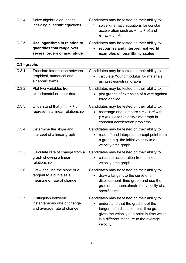| C.2.4        | Solve algebraic equations,                                                                 | Candidates may be tested on their ability to:                                                                                                                                                                                    |
|--------------|--------------------------------------------------------------------------------------------|----------------------------------------------------------------------------------------------------------------------------------------------------------------------------------------------------------------------------------|
|              | including quadratic equations                                                              | solve kinematic equations for constant<br>acceleration such as $v = u + at$ and<br>$s = ut + \frac{1}{2}$ at <sup>2</sup>                                                                                                        |
| C.2.5        | Use logarithms in relation to<br>quantities that range over<br>several orders of magnitude | Candidates may be tested on their ability to:<br>recognise and interpret real world<br>examples of logarithmic scales                                                                                                            |
| C.3 - graphs |                                                                                            |                                                                                                                                                                                                                                  |
| C.3.1        | Translate information between<br>graphical, numerical and<br>algebraic forms               | Candidates may be tested on their ability to:<br>calculate Young modulus for materials<br>using stress-strain graphs                                                                                                             |
| C.3.2        | Plot two variables from<br>experimental or other data                                      | Candidates may be tested on their ability to:<br>plot graphs of extension of a wire against<br>force applied                                                                                                                     |
| C.3.3        | Understand that $y = mx + c$<br>represents a linear relationship                           | Candidates may be tested on their ability to:<br>rearrange and compare $v = u + at$ with<br>$y = mx + c$ for velocity-time graph in<br>constant acceleration problems                                                            |
| C.3.4        | Determine the slope and<br>intercept of a linear graph                                     | Candidates may be tested on their ability to:<br>read off and interpret intercept point from<br>$\bullet$<br>a graph e.g. the initial velocity in a<br>velocity-time graph                                                       |
| C.3.5        | Calculate rate of change from a<br>graph showing a linear<br>relationship                  | Candidates may be tested on their ability to:<br>calculate acceleration from a linear<br>velocity-time graph                                                                                                                     |
| C.3.6        | Draw and use the slope of a<br>tangent to a curve as a<br>measure of rate of change        | Candidates may be tested on their ability to:<br>draw a tangent to the curve of a<br>displacement-time graph and use the<br>gradient to approximate the velocity at a<br>specific time                                           |
| C.3.7        | Distinguish between<br>instantaneous rate of change<br>and average rate of change          | Candidates may be tested on their ability to:<br>understand that the gradient of the<br>tangent of a displacement-time graph<br>gives the velocity at a point in time which<br>is a different measure to the average<br>velocity |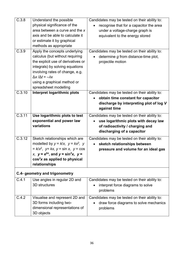| C.3.8  | Understand the possible<br>physical significance of the<br>area between a curve and the x<br>axis and be able to calculate it<br>or estimate it by graphical<br>methods as appropriate                                                                                     | Candidates may be tested on their ability to:<br>recognise that for a capacitor the area<br>under a voltage-charge graph is<br>equivalent to the energy stored |
|--------|----------------------------------------------------------------------------------------------------------------------------------------------------------------------------------------------------------------------------------------------------------------------------|----------------------------------------------------------------------------------------------------------------------------------------------------------------|
| C.3.9  | Apply the concepts underlying<br>calculus (but without requiring<br>the explicit use of derivatives or<br>integrals) by solving equations<br>involving rates of change, e.g.<br>$\Delta x / \Delta t = -\lambda x$<br>using a graphical method or<br>spreadsheet modelling | Candidates may be tested on their ability to:<br>determine g from distance-time plot,<br>projectile motion                                                     |
| C.3.10 | Interpret logarithmic plots                                                                                                                                                                                                                                                | Candidates may be tested on their ability to:<br>obtain time constant for capacitor<br>discharge by interpreting plot of log V<br>against time                 |
| C.3.11 | Use logarithmic plots to test<br>exponential and power law<br>variations                                                                                                                                                                                                   | Candidates may be tested on their ability to:<br>use logarithmic plots with decay law<br>of radioactivity / charging and<br>discharging of a capacitor         |
| C.3.12 | Sketch relationships which are<br>modelled by $y = k/x$ , $y = kx^2$ , y<br>$= k/x^2$ , $y = kx$ , $y = \sin x$ , $y = \cos x$<br>x, $y = e^{\pm x}$ , and $y = \sin^2 x$ , $y =$<br>$cos2x$ as applied to physical<br>relationships                                       | Candidates may be tested on their ability to:<br>sketch relationships between<br>$\bullet$<br>pressure and volume for an ideal gas                             |
|        | C.4- geometry and trigonometry                                                                                                                                                                                                                                             |                                                                                                                                                                |
| C.4.1  | Use angles in regular 2D and<br>3D structures                                                                                                                                                                                                                              | Candidates may be tested on their ability to:<br>interpret force diagrams to solve<br>$\bullet$<br>problems                                                    |
| C.4.2  | Visualise and represent 2D and<br>3D forms including two-<br>dimensional representations of<br>3D objects                                                                                                                                                                  | Candidates may be tested on their ability to:<br>draw force diagrams to solve mechanics<br>problems                                                            |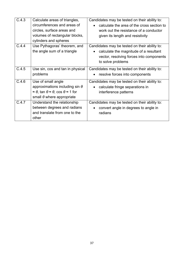| C.4.3 | Calculate areas of triangles,<br>circumferences and areas of<br>circles, surface areas and<br>volumes of rectangular blocks,<br>cylinders and spheres                          | Candidates may be tested on their ability to:<br>calculate the area of the cross section to<br>$\bullet$<br>work out the resistance of a conductor<br>given its length and resistivity |
|-------|--------------------------------------------------------------------------------------------------------------------------------------------------------------------------------|----------------------------------------------------------------------------------------------------------------------------------------------------------------------------------------|
| C.4.4 | Use Pythagoras' theorem, and<br>the angle sum of a triangle                                                                                                                    | Candidates may be tested on their ability to:<br>calculate the magnitude of a resultant<br>vector, resolving forces into components<br>to solve problems                               |
| C.4.5 | Use sin, cos and tan in physical<br>problems                                                                                                                                   | Candidates may be tested on their ability to:<br>resolve forces into components<br>$\bullet$                                                                                           |
| C.4.6 | Use of small angle<br>approximations including sin $\theta$<br>$\approx \theta$ , tan $\theta \approx \theta$ , cos $\theta \approx 1$ for<br>small $\theta$ where appropriate | Candidates may be tested on their ability to:<br>calculate fringe separations in<br>$\bullet$<br>interference patterns                                                                 |
| C.4.7 | Understand the relationship<br>between degrees and radians<br>and translate from one to the<br>other                                                                           | Candidates may be tested on their ability to:<br>convert angle in degrees to angle in<br>$\bullet$<br>radians                                                                          |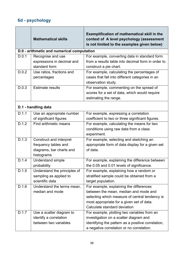# <span id="page-56-0"></span>**6d - psychology**

|       | <b>Mathematical skills</b>                                                                | <b>Exemplification of mathematical skill in the</b><br>context of A level psychology (assessment<br>is not limited to the examples given below)                                                                 |
|-------|-------------------------------------------------------------------------------------------|-----------------------------------------------------------------------------------------------------------------------------------------------------------------------------------------------------------------|
|       | D.0 - arithmetic and numerical computation                                                |                                                                                                                                                                                                                 |
| D.0.1 | Recognise and use<br>expressions in decimal and<br>standard form                          | For example, converting data in standard form<br>from a results table into decimal form in order to<br>construct a pie chart.                                                                                   |
| D.0.2 | Use ratios, fractions and<br>percentages                                                  | For example, calculating the percentages of<br>cases that fall into different categories in an<br>observation study.                                                                                            |
| D.0.3 | <b>Estimate results</b>                                                                   | For example, commenting on the spread of<br>scores for a set of data, which would require<br>estimating the range.                                                                                              |
|       | D.1 - handling data                                                                       |                                                                                                                                                                                                                 |
| D.1.1 | Use an appropriate number<br>of significant figures                                       | For example, expressing a correlation<br>coefficient to two or three significant figures.                                                                                                                       |
| D.1.2 | Find arithmetic means                                                                     | For example, calculating the means for two<br>conditions using raw data from a class<br>experiment.                                                                                                             |
| D.1.3 | Construct and interpret<br>frequency tables and<br>diagrams, bar charts and<br>histograms | For example, selecting and sketching an<br>appropriate form of data display for a given set<br>of data.                                                                                                         |
| D.1.4 | <b>Understand simple</b><br>probability                                                   | For example, explaining the difference between<br>the 0.05 and 0.01 levels of significance.                                                                                                                     |
| D.1.5 | Understand the principles of<br>sampling as applied to<br>scientific data                 | For example, explaining how a random or<br>stratified sample could be obtained from a<br>target population.                                                                                                     |
| D.1.6 | Understand the terms mean,<br>median and mode                                             | For example, explaining the differences<br>between the mean, median and mode and<br>selecting which measure of central tendency is<br>most appropriate for a given set of data.<br>Calculate standard deviation |
| D.1.7 | Use a scatter diagram to<br>identify a correlation<br>between two variables               | For example, plotting two variables from an<br>investigation on a scatter diagram and<br>identifying the pattern as a positive correlation,<br>a negative correlation or no correlation.                        |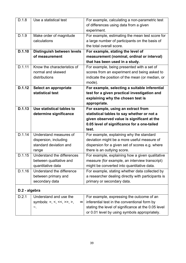| D.1.8         | Use a statistical test                | For example, calculating a non-parametric test                                   |
|---------------|---------------------------------------|----------------------------------------------------------------------------------|
|               |                                       |                                                                                  |
|               |                                       | of differences using data from a given                                           |
|               |                                       | experiment.                                                                      |
| D.1.9         | Make order of magnitude               | For example, estimating the mean test score for                                  |
|               | calculations                          | a large number of participants on the basis of                                   |
|               |                                       | the total overall score.                                                         |
| D.1.10        | Distinguish between levels            | For example, stating the level of                                                |
|               | of measurement                        | measurement (nominal, ordinal or interval)                                       |
|               |                                       | that has been used in a study.                                                   |
| D.1.11        | Know the characteristics of           | For example, being presented with a set of                                       |
|               | normal and skewed                     | scores from an experiment and being asked to                                     |
|               | distributions                         | indicate the position of the mean (or median, or                                 |
|               |                                       | mode).                                                                           |
| D.1.12        | Select an appropriate                 | For example, selecting a suitable inferential                                    |
|               | statistical test                      | test for a given practical investigation and                                     |
|               |                                       | explaining why the chosen test is                                                |
|               |                                       | appropriate.                                                                     |
| D.1.13        | Use statistical tables to             | For example, using an extract from                                               |
|               | determine significance                | statistical tables to say whether or not a                                       |
|               |                                       | given observed value is significant at the                                       |
|               |                                       | 0.05 level of significance for a one-tailed                                      |
|               |                                       | test.                                                                            |
| D.1.14        | Understand measures of                | For example, explaining why the standard                                         |
|               | dispersion, including                 | deviation might be a more useful measure of                                      |
|               | standard deviation and                |                                                                                  |
|               |                                       | dispersion for a given set of scores e.g. where                                  |
|               | range                                 | there is an outlying score.                                                      |
| D.1.15        | Understand the differences            | For example, explaining how a given qualitative                                  |
|               | between qualitative and               | measure (for example, an interview transcript)                                   |
|               | quantitative data                     | might be converted into quantitative data.                                       |
| D.1.16        | Understand the difference             | For example, stating whether data collected by                                   |
|               |                                       |                                                                                  |
|               | between primary and<br>secondary data | a researcher dealing directly with participants is<br>primary or secondary data. |
|               |                                       |                                                                                  |
| D.2 - algebra |                                       |                                                                                  |
| D.2.1         | Understand and use the                | For example, expressing the outcome of an                                        |
|               | symbols: =, <, <<, >>, >,<br>$\infty$ | inferential test in the conventional form by                                     |
|               | ~.                                    | stating the level of significance at the 0.05 level                              |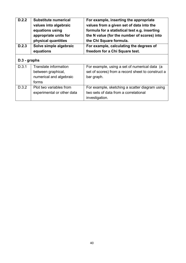| D.2.2        | <b>Substitute numerical</b> | For example, inserting the appropriate            |
|--------------|-----------------------------|---------------------------------------------------|
|              | values into algebraic       | values from a given set of data into the          |
|              | equations using             | formula for a statistical test e.g. inserting     |
|              | appropriate units for       | the N value (for the number of scores) into       |
|              | physical quantities         | the Chi Square formula.                           |
| D.2.3        | Solve simple algebraic      | For example, calculating the degrees of           |
|              | equations                   | freedom for a Chi Square test.                    |
| D.3 - graphs |                             |                                                   |
| D.3.1        | Translate information       | For example, using a set of numerical data (a     |
|              | between graphical,          | set of scores) from a record sheet to construct a |
|              | numerical and algebraic     | bar graph.                                        |
|              | forms                       |                                                   |
| D.3.2        | Plot two variables from     | For example, sketching a scatter diagram using    |
|              | experimental or other data  | two sets of data from a correlational             |
|              |                             | investigation.                                    |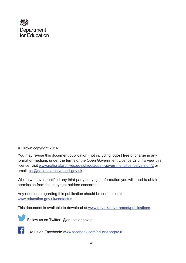

### © Crown copyright 2014

You may re-use this document/publication (not including logos) free of charge in any format or medium, under the terms of the Open Government Licence v2.0. To view this licence, visit [www.nationalarchives.gov.uk/doc/open-government-licence/version/2](http://www.nationalarchives.gov.uk/doc/open-government-licence/version/2) or email: [psi@nationalarchives.gsi.gov.uk.](mailto:psi@nationalarchives.gsi.gov.uk)

Where we have identified any third party copyright information you will need to obtain permission from the copyright holders concerned.

Any enquiries regarding this publication should be sent to us at [www.education.gov.uk/contactus.](http://www.education.gov.uk/contactus)

This document is available to download at [www.gov.uk/government/publications.](http://www.gov.uk/government/publications)



Follow us on Twitter: @educationgovuk

Like us on Facebook: [www.facebook.com/educationgovuk](http://www.facebook.com/educationgovuk)